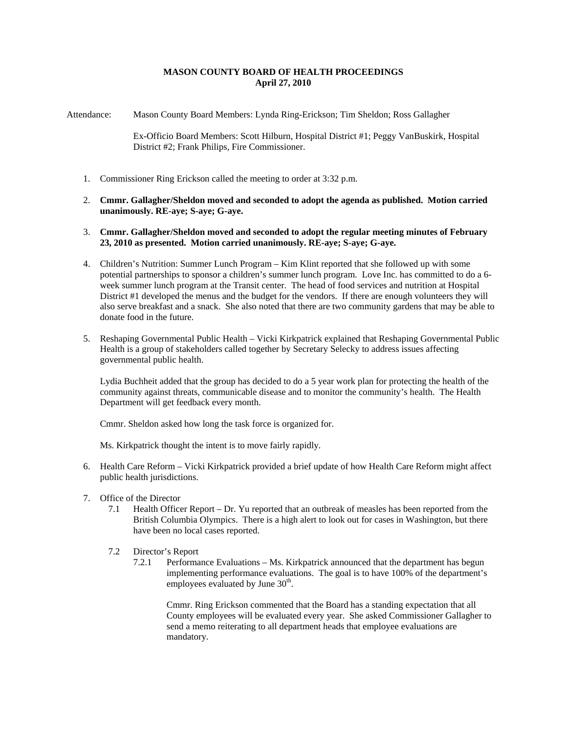## **MASON COUNTY BOARD OF HEALTH PROCEEDINGS April 27, 2010**

Attendance: Mason County Board Members: Lynda Ring-Erickson; Tim Sheldon; Ross Gallagher

Ex-Officio Board Members: Scott Hilburn, Hospital District #1; Peggy VanBuskirk, Hospital District #2; Frank Philips, Fire Commissioner.

- 1. Commissioner Ring Erickson called the meeting to order at 3:32 p.m.
- 2. **Cmmr. Gallagher/Sheldon moved and seconded to adopt the agenda as published. Motion carried unanimously. RE-aye; S-aye; G-aye.**
- 3. **Cmmr. Gallagher/Sheldon moved and seconded to adopt the regular meeting minutes of February 23, 2010 as presented. Motion carried unanimously. RE-aye; S-aye; G-aye.**
- 4. Children's Nutrition: Summer Lunch Program Kim Klint reported that she followed up with some potential partnerships to sponsor a children's summer lunch program. Love Inc. has committed to do a 6 week summer lunch program at the Transit center. The head of food services and nutrition at Hospital District #1 developed the menus and the budget for the vendors. If there are enough volunteers they will also serve breakfast and a snack. She also noted that there are two community gardens that may be able to donate food in the future.
- 5. Reshaping Governmental Public Health Vicki Kirkpatrick explained that Reshaping Governmental Public Health is a group of stakeholders called together by Secretary Selecky to address issues affecting governmental public health.

Lydia Buchheit added that the group has decided to do a 5 year work plan for protecting the health of the community against threats, communicable disease and to monitor the community's health. The Health Department will get feedback every month.

Cmmr. Sheldon asked how long the task force is organized for.

Ms. Kirkpatrick thought the intent is to move fairly rapidly.

- 6. Health Care Reform Vicki Kirkpatrick provided a brief update of how Health Care Reform might affect public health jurisdictions.
- 7. Office of the Director
	- 7.1 Health Officer Report Dr. Yu reported that an outbreak of measles has been reported from the British Columbia Olympics. There is a high alert to look out for cases in Washington, but there have been no local cases reported.
	- 7.2 Director's Report
		- 7.2.1 Performance Evaluations Ms. Kirkpatrick announced that the department has begun implementing performance evaluations. The goal is to have 100% of the department's employees evaluated by June  $30<sup>th</sup>$ .

Cmmr. Ring Erickson commented that the Board has a standing expectation that all County employees will be evaluated every year. She asked Commissioner Gallagher to send a memo reiterating to all department heads that employee evaluations are mandatory.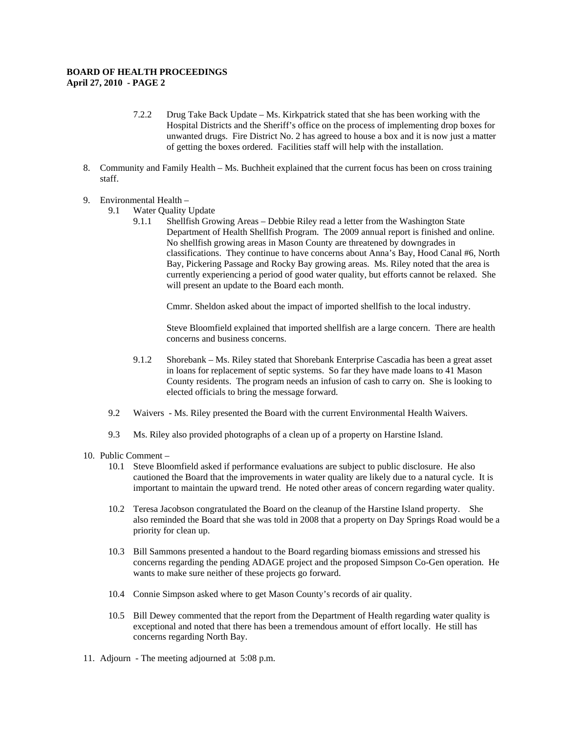## **BOARD OF HEALTH PROCEEDINGS April 27, 2010 - PAGE 2**

- 7.2.2 Drug Take Back Update Ms. Kirkpatrick stated that she has been working with the Hospital Districts and the Sheriff's office on the process of implementing drop boxes for unwanted drugs. Fire District No. 2 has agreed to house a box and it is now just a matter of getting the boxes ordered. Facilities staff will help with the installation.
- 8. Community and Family Health Ms. Buchheit explained that the current focus has been on cross training staff.
- 9. Environmental Health
	- 9.1 Water Quality Update
		- 9.1.1 Shellfish Growing Areas Debbie Riley read a letter from the Washington State Department of Health Shellfish Program. The 2009 annual report is finished and online. No shellfish growing areas in Mason County are threatened by downgrades in classifications. They continue to have concerns about Anna's Bay, Hood Canal #6, North Bay, Pickering Passage and Rocky Bay growing areas. Ms. Riley noted that the area is currently experiencing a period of good water quality, but efforts cannot be relaxed. She will present an update to the Board each month.

Cmmr. Sheldon asked about the impact of imported shellfish to the local industry.

Steve Bloomfield explained that imported shellfish are a large concern. There are health concerns and business concerns.

- 9.1.2 Shorebank Ms. Riley stated that Shorebank Enterprise Cascadia has been a great asset in loans for replacement of septic systems. So far they have made loans to 41 Mason County residents. The program needs an infusion of cash to carry on. She is looking to elected officials to bring the message forward.
- 9.2 Waivers Ms. Riley presented the Board with the current Environmental Health Waivers.
- 9.3 Ms. Riley also provided photographs of a clean up of a property on Harstine Island.
- 10. Public Comment
	- 10.1 Steve Bloomfield asked if performance evaluations are subject to public disclosure. He also cautioned the Board that the improvements in water quality are likely due to a natural cycle. It is important to maintain the upward trend. He noted other areas of concern regarding water quality.
	- 10.2 Teresa Jacobson congratulated the Board on the cleanup of the Harstine Island property. She also reminded the Board that she was told in 2008 that a property on Day Springs Road would be a priority for clean up.
	- 10.3 Bill Sammons presented a handout to the Board regarding biomass emissions and stressed his concerns regarding the pending ADAGE project and the proposed Simpson Co-Gen operation. He wants to make sure neither of these projects go forward.
	- 10.4 Connie Simpson asked where to get Mason County's records of air quality.
	- 10.5 Bill Dewey commented that the report from the Department of Health regarding water quality is exceptional and noted that there has been a tremendous amount of effort locally. He still has concerns regarding North Bay.
- 11. Adjourn The meeting adjourned at 5:08 p.m.